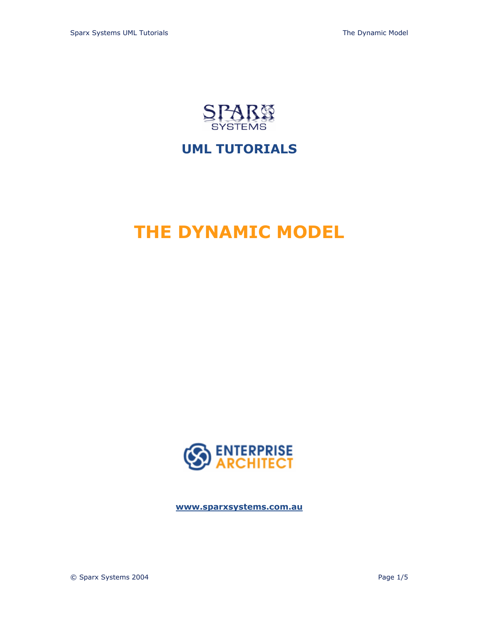

# **UML TUTORIALS**

# **THE DYNAMIC MODEL**



**<www.sparxsystems.com.au>**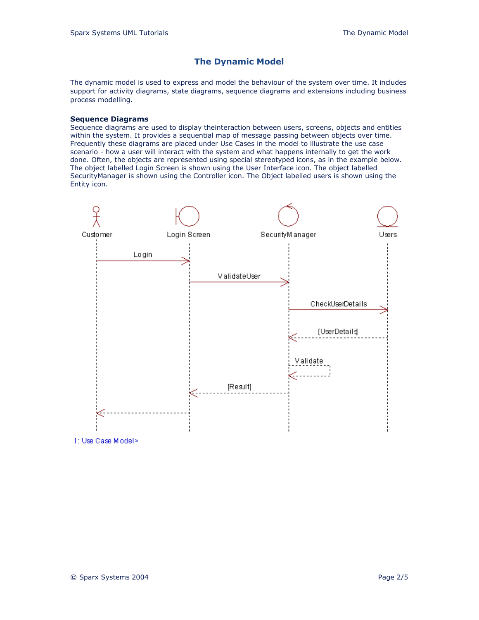# **The Dynamic Model**

The dynamic model is used to express and model the behaviour of the system over time. It includes support for activity diagrams, state diagrams, sequence diagrams and extensions including business process modelling.

#### **Sequence Diagrams**

Sequence diagrams are used to display theinteraction between users, screens, objects and entities within the system. It provides a sequential map of message passing between objects over time. Frequently these diagrams are placed under Use Cases in the model to illustrate the use case scenario - how a user will interact with the system and what happens internally to get the work done. Often, the objects are represented using special stereotyped icons, as in the example below. The object labelled Login Screen is shown using the User Interface icon. The object labelled SecurityManager is shown using the Controller icon. The Object labelled users is shown using the Entity icon.



1: Use Case Miodel>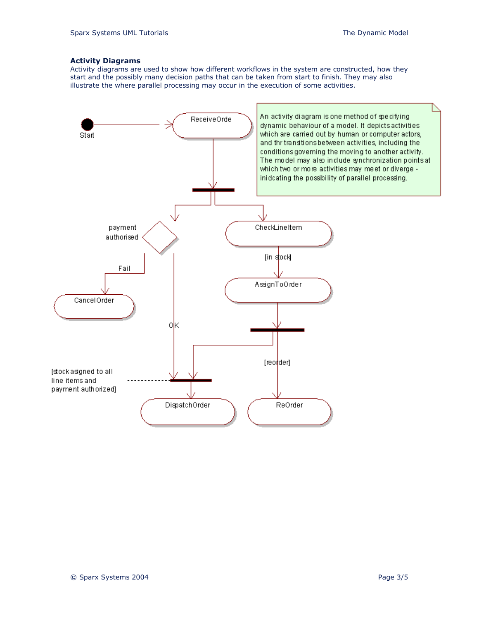### **Activity Diagrams**

Activity diagrams are used to show how different workflows in the system are constructed, how they start and the possibly many decision paths that can be taken from start to finish. They may also illustrate the where parallel processing may occur in the execution of some activities.

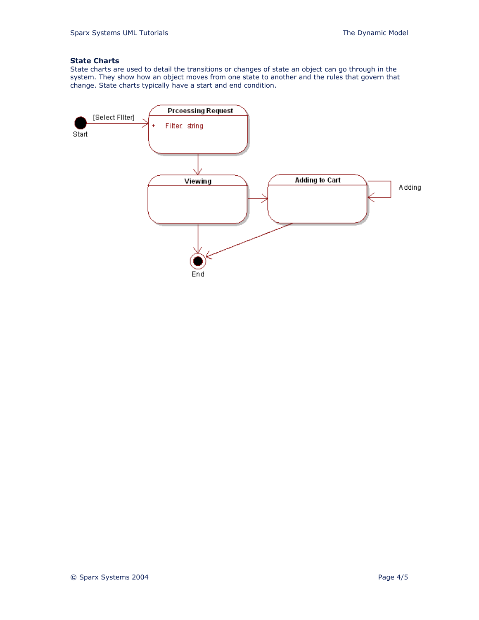# **State Charts**

State charts are used to detail the transitions or changes of state an object can go through in the system. They show how an object moves from one state to another and the rules that govern that change. State charts typically have a start and end condition.